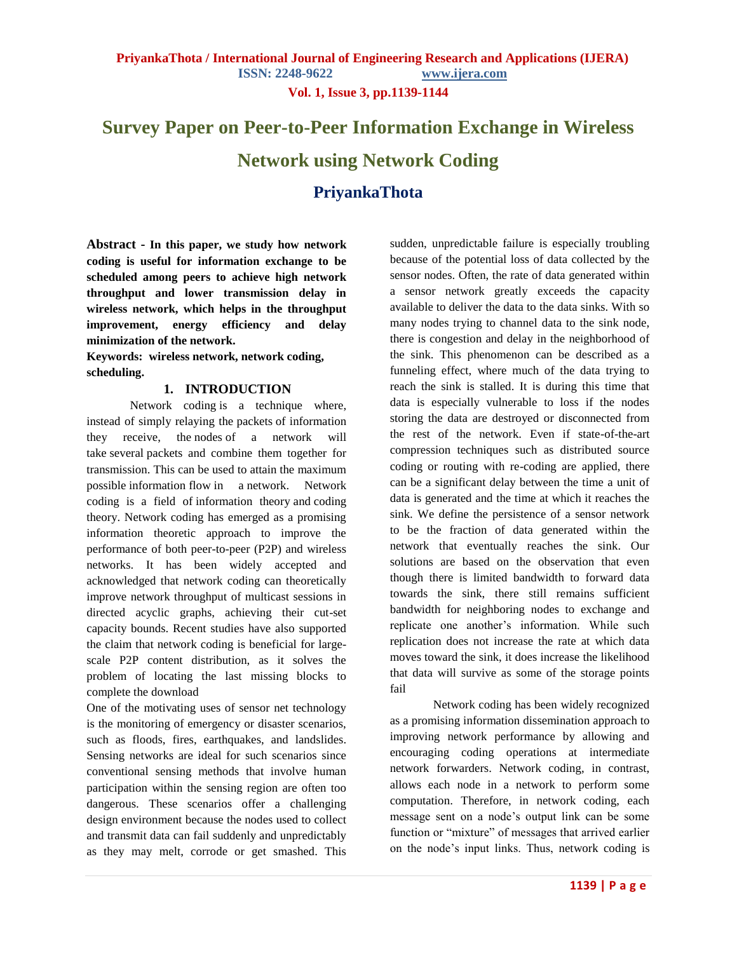**PriyankaThota / International Journal of Engineering Research and Applications (IJERA)** 

**ISSN: 2248-9622 www.ijera.com**

**Vol. 1, Issue 3, pp.1139-1144**

# **Survey Paper on Peer-to-Peer Information Exchange in Wireless Network using Network Coding PriyankaThota**

**Abstract - In this paper, we study how network coding is useful for information exchange to be scheduled among peers to achieve high network throughput and lower transmission delay in wireless network, which helps in the throughput improvement, energy efficiency and delay minimization of the network.** 

**Keywords: wireless network, network coding, scheduling.**

#### **1. INTRODUCTION**

Network coding is a technique where, instead of simply relaying the [packets](http://en.wikipedia.org/wiki/Packet_(information_technology)) of information they receive, the [nodes](http://en.wikipedia.org/wiki/Node_(networking)) of a network will take several packets and combine them together for transmission. This can be used to attain the maximum possible [information](http://en.wikipedia.org/wiki/Information) [flow](http://en.wikipedia.org/wiki/Flow_network) in a [network.](http://en.wikipedia.org/wiki/Network_theory) Network coding is a field of [information theory](http://en.wikipedia.org/wiki/Information_theory) and [coding](http://en.wikipedia.org/wiki/Coding_theory)  [theory.](http://en.wikipedia.org/wiki/Coding_theory) Network coding has emerged as a promising information theoretic approach to improve the performance of both peer-to-peer (P2P) and wireless networks. It has been widely accepted and acknowledged that network coding can theoretically improve network throughput of multicast sessions in directed acyclic graphs, achieving their cut-set capacity bounds. Recent studies have also supported the claim that network coding is beneficial for largescale P2P content distribution, as it solves the problem of locating the last missing blocks to complete the download

One of the motivating uses of sensor net technology is the monitoring of emergency or disaster scenarios, such as floods, fires, earthquakes, and landslides. Sensing networks are ideal for such scenarios since conventional sensing methods that involve human participation within the sensing region are often too dangerous. These scenarios offer a challenging design environment because the nodes used to collect and transmit data can fail suddenly and unpredictably as they may melt, corrode or get smashed. This sudden, unpredictable failure is especially troubling because of the potential loss of data collected by the sensor nodes. Often, the rate of data generated within a sensor network greatly exceeds the capacity available to deliver the data to the data sinks. With so many nodes trying to channel data to the sink node, there is congestion and delay in the neighborhood of the sink. This phenomenon can be described as a funneling effect, where much of the data trying to reach the sink is stalled. It is during this time that data is especially vulnerable to loss if the nodes storing the data are destroyed or disconnected from the rest of the network. Even if state-of-the-art compression techniques such as distributed source coding or routing with re-coding are applied, there can be a significant delay between the time a unit of data is generated and the time at which it reaches the sink. We define the persistence of a sensor network to be the fraction of data generated within the network that eventually reaches the sink. Our solutions are based on the observation that even though there is limited bandwidth to forward data towards the sink, there still remains sufficient bandwidth for neighboring nodes to exchange and replicate one another's information. While such replication does not increase the rate at which data moves toward the sink, it does increase the likelihood that data will survive as some of the storage points fail

Network coding has been widely recognized as a promising information dissemination approach to improving network performance by allowing and encouraging coding operations at intermediate network forwarders. Network coding, in contrast, allows each node in a network to perform some computation. Therefore, in network coding, each message sent on a node's output link can be some function or "mixture" of messages that arrived earlier on the node's input links. Thus, network coding is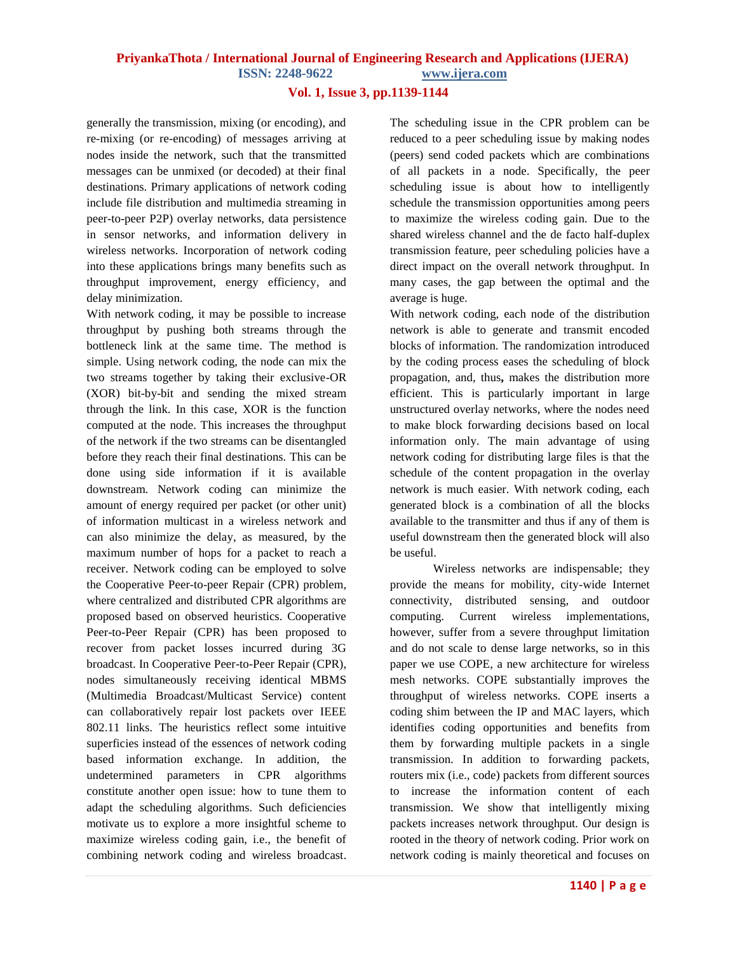#### **PriyankaThota / International Journal of Engineering Research and Applications (IJERA) ISSN: 2248-9622 www.ijera.com**

#### **Vol. 1, Issue 3, pp.1139-1144**

generally the transmission, mixing (or encoding), and re-mixing (or re-encoding) of messages arriving at nodes inside the network, such that the transmitted messages can be unmixed (or decoded) at their final destinations. Primary applications of network coding include file distribution and multimedia streaming in peer-to-peer P2P) overlay networks, data persistence in sensor networks, and information delivery in wireless networks. Incorporation of network coding into these applications brings many benefits such as throughput improvement, energy efficiency, and delay minimization.

With network coding, it may be possible to increase throughput by pushing both streams through the bottleneck link at the same time. The method is simple. Using network coding, the node can mix the two streams together by taking their exclusive-OR (XOR) bit-by-bit and sending the mixed stream through the link. In this case, XOR is the function computed at the node. This increases the throughput of the network if the two streams can be disentangled before they reach their final destinations. This can be done using side information if it is available downstream. Network coding can minimize the amount of energy required per packet (or other unit) of information multicast in a wireless network and can also minimize the delay, as measured, by the maximum number of hops for a packet to reach a receiver. Network coding can be employed to solve the Cooperative Peer-to-peer Repair (CPR) problem, where centralized and distributed CPR algorithms are proposed based on observed heuristics. Cooperative Peer-to-Peer Repair (CPR) has been proposed to recover from packet losses incurred during 3G broadcast. In Cooperative Peer-to-Peer Repair (CPR), nodes simultaneously receiving identical MBMS (Multimedia Broadcast/Multicast Service) content can collaboratively repair lost packets over IEEE 802.11 links. The heuristics reflect some intuitive superficies instead of the essences of network coding based information exchange. In addition, the undetermined parameters in CPR algorithms constitute another open issue: how to tune them to adapt the scheduling algorithms. Such deficiencies motivate us to explore a more insightful scheme to maximize wireless coding gain, i.e., the benefit of combining network coding and wireless broadcast. The scheduling issue in the CPR problem can be reduced to a peer scheduling issue by making nodes (peers) send coded packets which are combinations of all packets in a node. Specifically, the peer scheduling issue is about how to intelligently schedule the transmission opportunities among peers to maximize the wireless coding gain. Due to the shared wireless channel and the de facto half-duplex transmission feature, peer scheduling policies have a direct impact on the overall network throughput. In many cases, the gap between the optimal and the average is huge.

With network coding, each node of the distribution network is able to generate and transmit encoded blocks of information. The randomization introduced by the coding process eases the scheduling of block propagation, and, thus**,** makes the distribution more efficient. This is particularly important in large unstructured overlay networks, where the nodes need to make block forwarding decisions based on local information only. The main advantage of using network coding for distributing large files is that the schedule of the content propagation in the overlay network is much easier. With network coding, each generated block is a combination of all the blocks available to the transmitter and thus if any of them is useful downstream then the generated block will also be useful.

Wireless networks are indispensable; they provide the means for mobility, city-wide Internet connectivity, distributed sensing, and outdoor computing. Current wireless implementations, however, suffer from a severe throughput limitation and do not scale to dense large networks, so in this paper we use COPE, a new architecture for wireless mesh networks. COPE substantially improves the throughput of wireless networks. COPE inserts a coding shim between the IP and MAC layers, which identifies coding opportunities and benefits from them by forwarding multiple packets in a single transmission. In addition to forwarding packets, routers mix (i.e., code) packets from different sources to increase the information content of each transmission. We show that intelligently mixing packets increases network throughput. Our design is rooted in the theory of network coding. Prior work on network coding is mainly theoretical and focuses on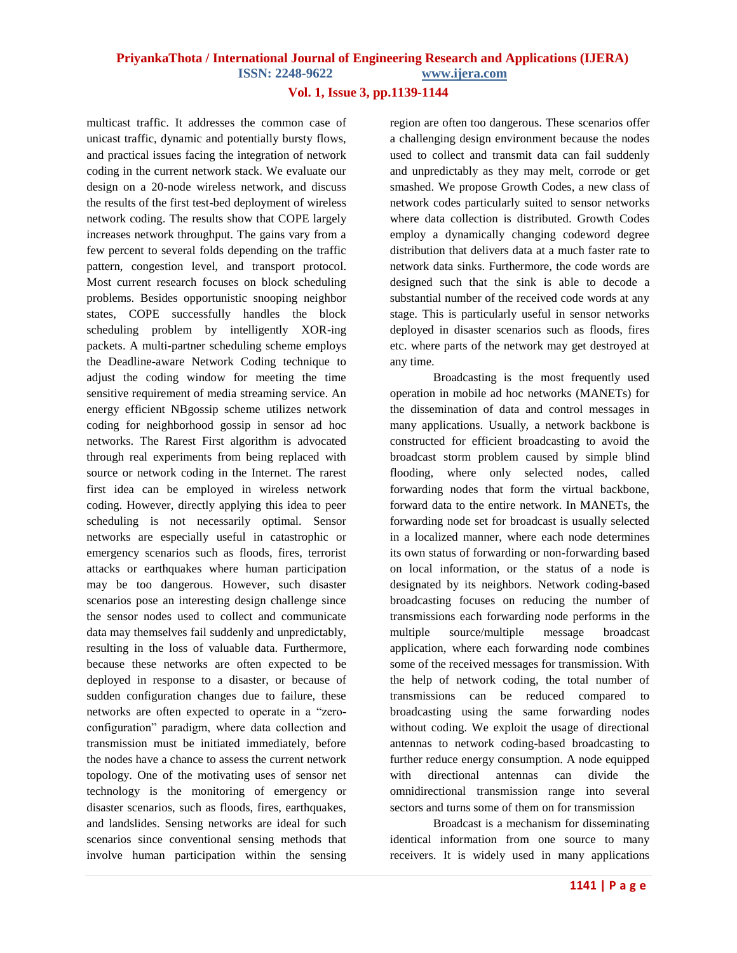### **PriyankaThota / International Journal of Engineering Research and Applications (IJERA)**

**ISSN: 2248-9622 www.ijera.com**

#### **Vol. 1, Issue 3, pp.1139-1144**

multicast traffic. It addresses the common case of unicast traffic, dynamic and potentially bursty flows, and practical issues facing the integration of network coding in the current network stack. We evaluate our design on a 20-node wireless network, and discuss the results of the first test-bed deployment of wireless network coding. The results show that COPE largely increases network throughput. The gains vary from a few percent to several folds depending on the traffic pattern, congestion level, and transport protocol. Most current research focuses on block scheduling problems. Besides opportunistic snooping neighbor states, COPE successfully handles the block scheduling problem by intelligently XOR-ing packets. A multi-partner scheduling scheme employs the Deadline-aware Network Coding technique to adjust the coding window for meeting the time sensitive requirement of media streaming service. An energy efficient NBgossip scheme utilizes network coding for neighborhood gossip in sensor ad hoc networks. The Rarest First algorithm is advocated through real experiments from being replaced with source or network coding in the Internet. The rarest first idea can be employed in wireless network coding. However, directly applying this idea to peer scheduling is not necessarily optimal. Sensor networks are especially useful in catastrophic or emergency scenarios such as floods, fires, terrorist attacks or earthquakes where human participation may be too dangerous. However, such disaster scenarios pose an interesting design challenge since the sensor nodes used to collect and communicate data may themselves fail suddenly and unpredictably, resulting in the loss of valuable data. Furthermore, because these networks are often expected to be deployed in response to a disaster, or because of sudden configuration changes due to failure, these networks are often expected to operate in a "zeroconfiguration" paradigm, where data collection and transmission must be initiated immediately, before the nodes have a chance to assess the current network topology. One of the motivating uses of sensor net technology is the monitoring of emergency or disaster scenarios, such as floods, fires, earthquakes, and landslides. Sensing networks are ideal for such scenarios since conventional sensing methods that involve human participation within the sensing region are often too dangerous. These scenarios offer a challenging design environment because the nodes used to collect and transmit data can fail suddenly and unpredictably as they may melt, corrode or get smashed. We propose Growth Codes, a new class of network codes particularly suited to sensor networks where data collection is distributed. Growth Codes employ a dynamically changing codeword degree distribution that delivers data at a much faster rate to network data sinks. Furthermore, the code words are designed such that the sink is able to decode a substantial number of the received code words at any stage. This is particularly useful in sensor networks deployed in disaster scenarios such as floods, fires etc. where parts of the network may get destroyed at any time.

Broadcasting is the most frequently used operation in mobile ad hoc networks (MANETs) for the dissemination of data and control messages in many applications. Usually, a network backbone is constructed for efficient broadcasting to avoid the broadcast storm problem caused by simple blind flooding, where only selected nodes, called forwarding nodes that form the virtual backbone, forward data to the entire network. In MANETs, the forwarding node set for broadcast is usually selected in a localized manner, where each node determines its own status of forwarding or non-forwarding based on local information, or the status of a node is designated by its neighbors. Network coding-based broadcasting focuses on reducing the number of transmissions each forwarding node performs in the multiple source/multiple message broadcast application, where each forwarding node combines some of the received messages for transmission. With the help of network coding, the total number of transmissions can be reduced compared to broadcasting using the same forwarding nodes without coding. We exploit the usage of directional antennas to network coding-based broadcasting to further reduce energy consumption. A node equipped with directional antennas can divide the omnidirectional transmission range into several sectors and turns some of them on for transmission

Broadcast is a mechanism for disseminating identical information from one source to many receivers. It is widely used in many applications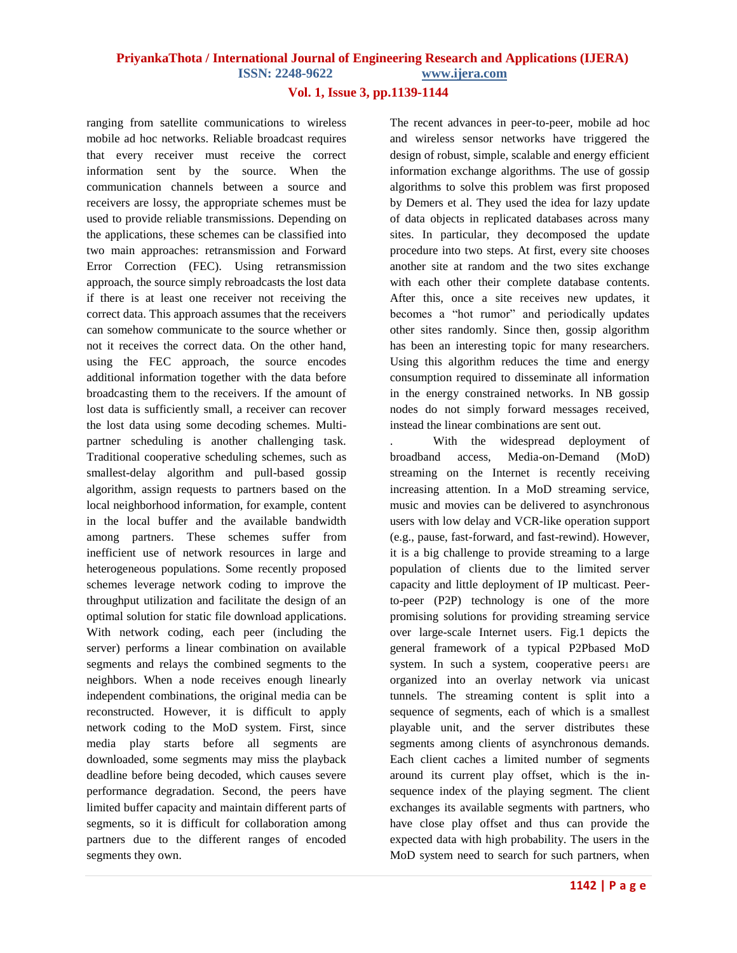## **PriyankaThota / International Journal of Engineering Research and Applications (IJERA)**

**ISSN: 2248-9622 www.ijera.com**

#### **Vol. 1, Issue 3, pp.1139-1144**

ranging from satellite communications to wireless mobile ad hoc networks. Reliable broadcast requires that every receiver must receive the correct information sent by the source. When the communication channels between a source and receivers are lossy, the appropriate schemes must be used to provide reliable transmissions. Depending on the applications, these schemes can be classified into two main approaches: retransmission and Forward Error Correction (FEC). Using retransmission approach, the source simply rebroadcasts the lost data if there is at least one receiver not receiving the correct data. This approach assumes that the receivers can somehow communicate to the source whether or not it receives the correct data. On the other hand, using the FEC approach, the source encodes additional information together with the data before broadcasting them to the receivers. If the amount of lost data is sufficiently small, a receiver can recover the lost data using some decoding schemes. Multipartner scheduling is another challenging task. Traditional cooperative scheduling schemes, such as smallest-delay algorithm and pull-based gossip algorithm, assign requests to partners based on the local neighborhood information, for example, content in the local buffer and the available bandwidth among partners. These schemes suffer from inefficient use of network resources in large and heterogeneous populations. Some recently proposed schemes leverage network coding to improve the throughput utilization and facilitate the design of an optimal solution for static file download applications. With network coding, each peer (including the server) performs a linear combination on available segments and relays the combined segments to the neighbors. When a node receives enough linearly independent combinations, the original media can be reconstructed. However, it is difficult to apply network coding to the MoD system. First, since media play starts before all segments are downloaded, some segments may miss the playback deadline before being decoded, which causes severe performance degradation. Second, the peers have limited buffer capacity and maintain different parts of segments, so it is difficult for collaboration among partners due to the different ranges of encoded segments they own.

The recent advances in peer-to-peer, mobile ad hoc and wireless sensor networks have triggered the design of robust, simple, scalable and energy efficient information exchange algorithms. The use of gossip algorithms to solve this problem was first proposed by Demers et al. They used the idea for lazy update of data objects in replicated databases across many sites. In particular, they decomposed the update procedure into two steps. At first, every site chooses another site at random and the two sites exchange with each other their complete database contents. After this, once a site receives new updates, it becomes a "hot rumor" and periodically updates other sites randomly. Since then, gossip algorithm has been an interesting topic for many researchers. Using this algorithm reduces the time and energy consumption required to disseminate all information in the energy constrained networks. In NB gossip nodes do not simply forward messages received, instead the linear combinations are sent out.

. With the widespread deployment of broadband access, Media-on-Demand (MoD) streaming on the Internet is recently receiving increasing attention. In a MoD streaming service, music and movies can be delivered to asynchronous users with low delay and VCR-like operation support (e.g., pause, fast-forward, and fast-rewind). However, it is a big challenge to provide streaming to a large population of clients due to the limited server capacity and little deployment of IP multicast. Peerto-peer (P2P) technology is one of the more promising solutions for providing streaming service over large-scale Internet users. Fig.1 depicts the general framework of a typical P2Pbased MoD system. In such a system, cooperative peers are organized into an overlay network via unicast tunnels. The streaming content is split into a sequence of segments, each of which is a smallest playable unit, and the server distributes these segments among clients of asynchronous demands. Each client caches a limited number of segments around its current play offset, which is the insequence index of the playing segment. The client exchanges its available segments with partners, who have close play offset and thus can provide the expected data with high probability. The users in the MoD system need to search for such partners, when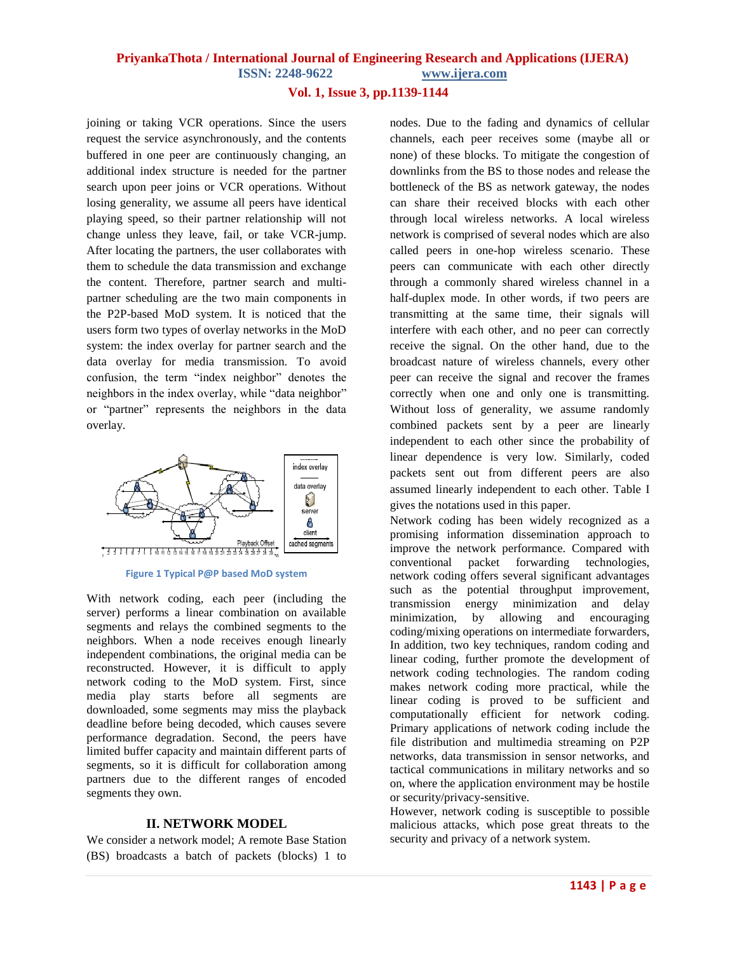#### **PriyankaThota / International Journal of Engineering Research and Applications (IJERA) ISSN: 2248-9622 www.ijera.com**

#### **Vol. 1, Issue 3, pp.1139-1144**

joining or taking VCR operations. Since the users request the service asynchronously, and the contents buffered in one peer are continuously changing, an additional index structure is needed for the partner search upon peer joins or VCR operations. Without losing generality, we assume all peers have identical playing speed, so their partner relationship will not change unless they leave, fail, or take VCR-jump. After locating the partners, the user collaborates with them to schedule the data transmission and exchange the content. Therefore, partner search and multipartner scheduling are the two main components in the P2P-based MoD system. It is noticed that the users form two types of overlay networks in the MoD system: the index overlay for partner search and the data overlay for media transmission. To avoid confusion, the term "index neighbor" denotes the neighbors in the index overlay, while "data neighbor" or "partner" represents the neighbors in the data overlay.



**Figure 1 Typical P@P based MoD system**

With network coding, each peer (including the server) performs a linear combination on available segments and relays the combined segments to the neighbors. When a node receives enough linearly independent combinations, the original media can be reconstructed. However, it is difficult to apply network coding to the MoD system. First, since media play starts before all segments are downloaded, some segments may miss the playback deadline before being decoded, which causes severe performance degradation. Second, the peers have limited buffer capacity and maintain different parts of segments, so it is difficult for collaboration among partners due to the different ranges of encoded segments they own.

#### **II. NETWORK MODEL**

We consider a network model; A remote Base Station (BS) broadcasts a batch of packets (blocks) 1 to nodes. Due to the fading and dynamics of cellular channels, each peer receives some (maybe all or none) of these blocks. To mitigate the congestion of downlinks from the BS to those nodes and release the bottleneck of the BS as network gateway, the nodes can share their received blocks with each other through local wireless networks. A local wireless network is comprised of several nodes which are also called peers in one-hop wireless scenario. These peers can communicate with each other directly through a commonly shared wireless channel in a half-duplex mode. In other words, if two peers are transmitting at the same time, their signals will interfere with each other, and no peer can correctly receive the signal. On the other hand, due to the broadcast nature of wireless channels, every other peer can receive the signal and recover the frames correctly when one and only one is transmitting. Without loss of generality, we assume randomly combined packets sent by a peer are linearly independent to each other since the probability of linear dependence is very low. Similarly, coded packets sent out from different peers are also assumed linearly independent to each other. Table I gives the notations used in this paper.

Network coding has been widely recognized as a promising information dissemination approach to improve the network performance. Compared with conventional packet forwarding technologies, network coding offers several significant advantages such as the potential throughput improvement, transmission energy minimization and delay minimization, by allowing and encouraging coding/mixing operations on intermediate forwarders, In addition, two key techniques, random coding and linear coding, further promote the development of network coding technologies. The random coding makes network coding more practical, while the linear coding is proved to be sufficient and computationally efficient for network coding. Primary applications of network coding include the file distribution and multimedia streaming on P2P networks, data transmission in sensor networks, and tactical communications in military networks and so on, where the application environment may be hostile or security/privacy-sensitive.

However, network coding is susceptible to possible malicious attacks, which pose great threats to the security and privacy of a network system.